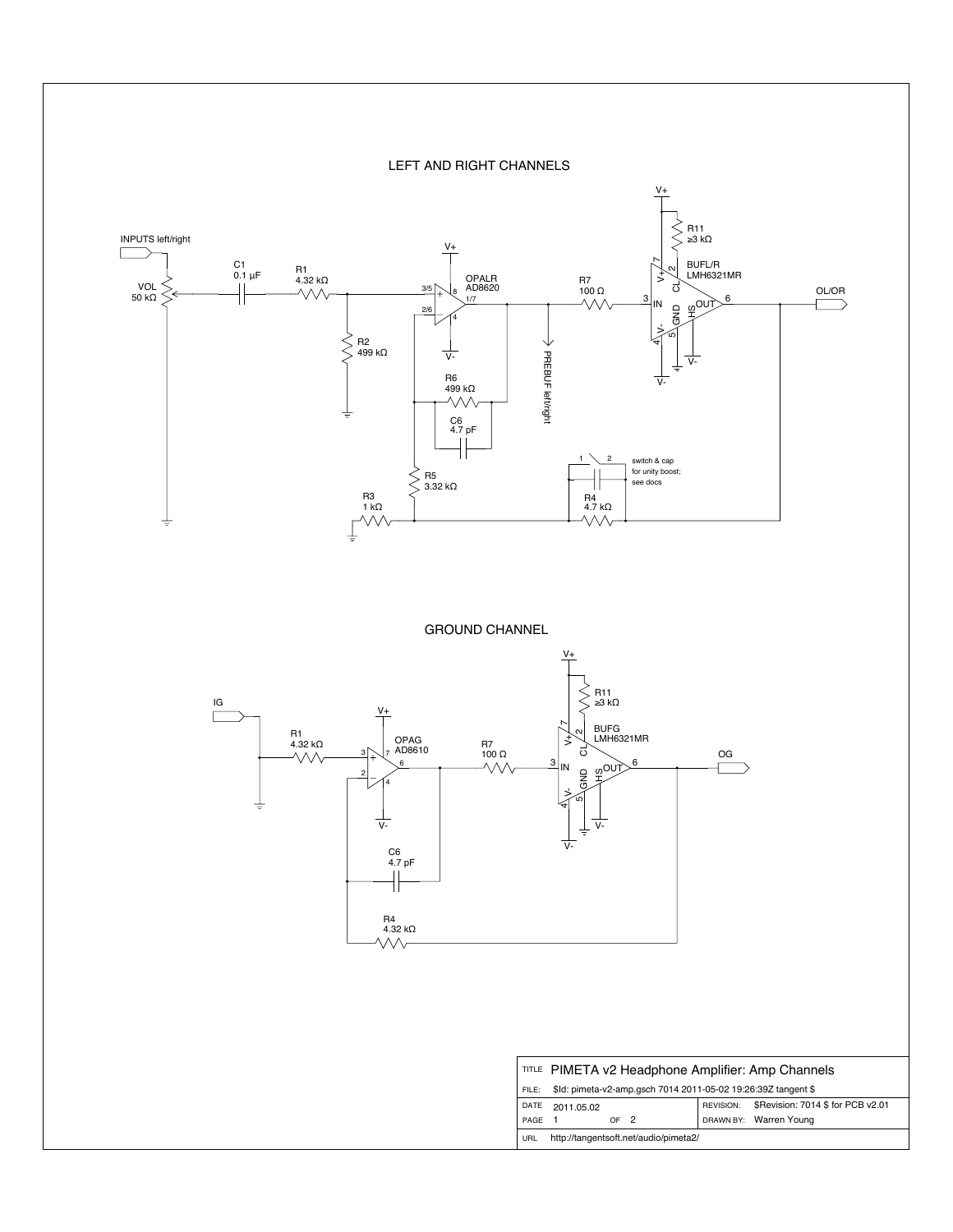